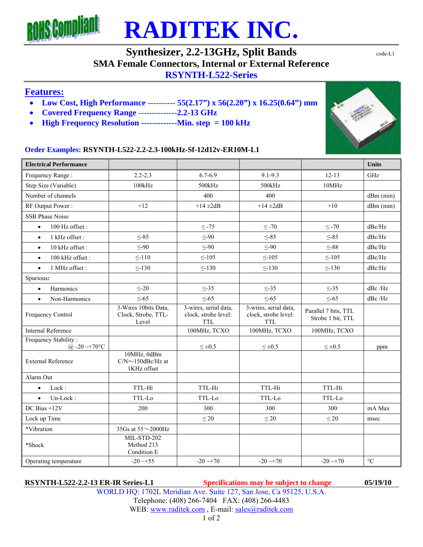

# **RADITEK INC.**

### **Synthesizer, 2.2-13GHz, Split Bands** code-L1

**SMA Female Connectors, Internal or External Reference** 

#### **RSYNTH-L522-Series**

#### **Features:**

- **Low Cost, High Performance** ---------- **55(2.17") x 56(2.20") x 16.25(0.64") mm**
- **Covered Frequency Range** --------------**2.2-13 GHz**
- **High Frequency Resolution -------------Min. step = 100 kHz**

#### **Order Examples: RSYNTH-L522-2.2-2.3-100kHz-Sf-12d12v-ER10M-L1**

| <b>Electrical Performance</b>               |                                                      |                                                             |                                                             |                                           | <b>Units</b>    |
|---------------------------------------------|------------------------------------------------------|-------------------------------------------------------------|-------------------------------------------------------------|-------------------------------------------|-----------------|
| Frequency Range:                            | $2.2 - 2.3$                                          | $6.7 - 6.9$                                                 | $9.1 - 9.3$                                                 | $12 - 13$                                 | GHz             |
| Step Size (Variable)                        | 100kHz                                               | 500kHz                                                      | 500kHz                                                      | 10MHz                                     |                 |
| Number of channels                          |                                                      | 400                                                         | 400                                                         |                                           | $dBm$ (min)     |
| RF Output Power:                            | $+12$                                                | $+14 \pm 2dB$                                               | $+14 \pm 2dB$                                               | $+10$                                     | $dBm$ (min)     |
| <b>SSB Phase Noise</b>                      |                                                      |                                                             |                                                             |                                           |                 |
| 100 Hz offset:<br>$\bullet$                 |                                                      | $\leq$ -75                                                  | $\leq$ -70                                                  | $\leq$ -70                                | dBc/Hz          |
| 1 kHz offset:<br>$\bullet$                  | $\leq -85$                                           | $\leq$ -90                                                  | $\leq -85$                                                  | $\leq -85$                                | dBc/Hz          |
| 10 kHz offset:<br>$\bullet$                 | $\leq -90$                                           | $\leq -90$                                                  | $\leq -90$                                                  | $\leq$ -88                                | dBc/Hz          |
| 100 kHz offset:<br>$\bullet$                | $\leq$ -110                                          | $\leq$ -105                                                 | $\leq$ -105                                                 | $\leq$ -105                               | dBc/Hz          |
| 1 MHz offset:<br>$\bullet$                  | < 130                                                | $\leq$ -130                                                 | $\leq$ -130                                                 | < 130                                     | dBc/Hz          |
| Spurious:                                   |                                                      |                                                             |                                                             |                                           |                 |
| Harmonics<br>$\bullet$                      | $\leq$ -20                                           | $\leq -35$                                                  | $\leq -35$                                                  | $\leq$ -35                                | dBc/Hz          |
| Non-Harmonics<br>$\bullet$                  | $\leq -65$                                           | $\leq$ -65                                                  | $\leq$ -65                                                  | $\leq$ -65                                | dBc / Hz        |
| Frequency Control                           | 3-Wires 10bits Data,<br>Clock, Strobe, TTL-<br>Level | 3-wires, serial data,<br>clock, strobe level:<br><b>TTL</b> | 3-wires, serial data,<br>clock, strobe level:<br><b>TTL</b> | Parallel 7 bits, TTL<br>Strobe 1 bit, TTL |                 |
| <b>Internal Reference</b>                   |                                                      | 100MHz, TCXO                                                | 100MHz, TCXO                                                | 100MHz, TCXO                              |                 |
| Frequency Stability:<br>@ $-20 \sim +70$ °C |                                                      | $\leq \pm 0.5$                                              | $\leq \pm 0.5$                                              | $\leq \pm 0.5$                            | ppm             |
| <b>External Reference</b>                   | 10MHz, 0dBm<br>$C/N = -150dBc/Hz$ at<br>1KHz offset  |                                                             |                                                             |                                           |                 |
| Alarm Out                                   |                                                      |                                                             |                                                             |                                           |                 |
| Lock:<br>$\bullet$                          | TTL-Hi                                               | TTL-Hi                                                      | TTL-Hi                                                      | TTL-Hi                                    |                 |
| Un-Lock:<br>$\bullet$                       | TTL-Lo                                               | TTL-Lo                                                      | TTL-Lo                                                      | TTL-Lo                                    |                 |
| DC Bias +12V                                | 200                                                  | 300                                                         | 300                                                         | 300                                       | mA Max          |
| Lock up Time                                |                                                      | $\leq 20$                                                   | $\leq 20$                                                   | $\leq 20$                                 | msec            |
| *Vibration                                  | 35Gs at 55~2000Hz                                    |                                                             |                                                             |                                           |                 |
| *Shock                                      | MIL-STD-202<br>Method 213<br>Condition E             |                                                             |                                                             |                                           |                 |
| Operating temperature                       | $-20 \rightarrow +55$                                | $-20 \rightarrow 70$                                        | $-20 \rightarrow 70$                                        | $-20 \rightarrow 70$                      | $\rm ^{\circ}C$ |